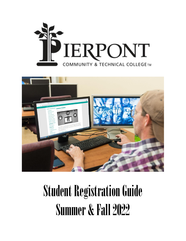



# Student Registration Guide **Summer & Fall 2022**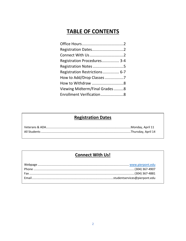# **TABLE OF CONTENTS**

| Registration Dates2           |  |
|-------------------------------|--|
| Connect With Us2              |  |
| Registration Procedures 3-4   |  |
| Registration Notes 5          |  |
| Registration Restrictions 6-7 |  |
| How to Add/Drop Classes 7     |  |
|                               |  |
| Viewing Midterm/Final Grades8 |  |
| Enrollment Verification8      |  |
|                               |  |

# **Registration Dates**

# **Connect With Us!**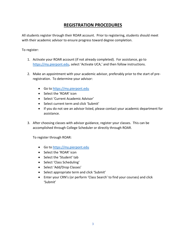## **REGISTRATION PROCEDURES**

All students register through their ROAR account. Prior to registering, students should meet with their academic advisor to ensure progress toward degree completion.

To register:

- 1. Activate your ROAR account (if not already completed). For assistance, go to [https://my.pierpont.edu](https://my.pierpont.edul/), select 'Activate UCA,' and then follow instructions.
- 2. Make an appointment with your academic advisor, preferably prior to the start of preregistration. To determine your advisor:
	- Go t[o https://my.pierpont.edu](https://my.pierpont.edu/)
	- Select the 'ROAR' icon
	- Select 'Current Academic Advisor'
	- Select current term and click 'Submit'
	- If you do not see an advisor listed, please contact your academic department for assistance.
- 3. After choosing classes with advisor guidance, register your classes. This can be accomplished through College Scheduler or directly through ROAR.

To register through ROAR:

- Go t[o https://my.pierpont.edu](https://my.pierpont.edu/)
- Select the 'ROAR' icon
- Select the 'Student' tab
- Select 'Class Scheduling'
- Select 'Add/Drop Classes'
- Select appropriate term and click 'Submit'
- Enter your CRN's (or perform 'Class Search' to find your courses) and click 'Submit'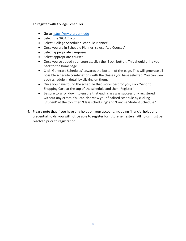To register with College Scheduler:

- Go t[o https://my.pierpont.edu](https://my.pierpont.edu/)
- Select the 'ROAR' icon
- Select 'College Scheduler Schedule Planner'
- Once you are in Schedule Planner, select 'Add Courses'
- Select appropriate campuses
- Select appropriate courses
- Once you've added your courses, click the 'Back' button. This should bring you back to the homepage.
- Click 'Generate Schedules' towards the bottom of the page. This will generate all possible schedule combinations with the classes you have selected. You can view each schedule in detail by clicking on them.
- Once you have found the schedule that works best for you, click 'Send to Shopping Cart' at the top of the schedule and then 'Register.'
- Be sure to scroll down to ensure that each class was successfully registered without any errors. You can also view your finalized schedule by clicking 'Student' at the top, then 'Class scheduling' and 'Concise Student Schedule.'
- 4. Please note that if you have any holds on your account, including financial holds and credential holds, you will not be able to register for future semesters. All holds must be resolved prior to registration.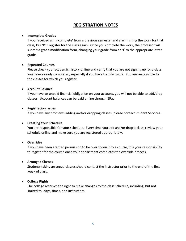### **REGISTRATION NOTES**

#### • **Incomplete Grades**

If you received an 'Incomplete' from a previous semester and are finishing the work for that class, DO NOT register for the class again. Once you complete the work, the professor will submit a grade modification form, changing your grade from an 'I' to the appropriate letter grade.

#### • **Repeated Courses**

Please check your academic history online and verify that you are not signing up for a class you have already completed, especially if you have transfer work. You are responsible for the classes for which you register.

#### • **Account Balance**

If you have an unpaid financial obligation on your account, you will not be able to add/drop classes. Account balances can be paid online through EPay.

#### • **Registration Issues**

If you have any problems adding and/or dropping classes, please contact Student Services.

#### • **Creating Your Schedule**

You are responsible for your schedule. Every time you add and/or drop a class, review your schedule online and make sure you are registered appropriately.

#### • **Overrides**

If you have been granted permission to be overridden into a course, it is your responsibility to register for the course once your department completes the override process.

#### • **Arranged Classes**

Students taking arranged classes should contact the instructor prior to the end of the first week of class.

#### • **College Rights**

The college reserves the right to make changes to the class schedule, including, but not limited to, days, times, and instructors.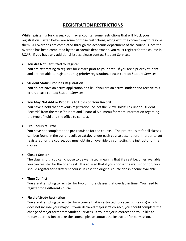## **REGISTRATION RESTRICTIONS**

While registering for classes, you may encounter some restrictions that will block your registration. Listed below are some of those restrictions, along with the correct way to resolve them. All overrides are completed through the academic department of the course. Once the override has been completed by the academic department, you must register for the course in ROAR. If you have any additional issues, please contact Student Services.

#### • **You Are Not Permitted to Register**

You are attempting to register for classes prior to your date. If you are a priority student and are not able to register during priority registration, please contact Student Services.

#### • **Student Status Prohibits Registration**

You do not have an active application on file. If you are an active student and receive this error, please contact Student Services.

#### • **You May Not Add or Drop Due to Holds on Your Record**

You have a hold that prevents registration. Select the 'View Holds' link under 'Student Records' from the main 'Student and Financial Aid' menu for more information regarding the type of hold and the office to contact.

#### • **Pre-Requisite Error**

You have not completed the pre-requisite for the course. The pre-requisite for all classes can ben found in the current college catalog under each course description. In order to get registered for the course, you must obtain an override by contacting the instructor of the course.

#### • **Closed Section**

The class is full. You can choose to be waitlisted, meaning that if a seat becomes available, you can register for the open seat. It is advised that if you choose the waitlist option, you should register for a different course in case the original course doesn't come available.

#### • **Time Conflict**

You are attempting to register for two or more classes that overlap in time. You need to register for a different course.

#### • **Field of Study Restriction**

You are attempting to register for a course that is restricted to a specific major(s) which does not include your major. If your declared major isn't correct, you should complete the change of major form from Student Services. If your major is correct and you'd like to request permission to take the course, please contact the instructor for permission.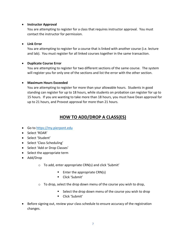#### • **Instructor Approval**

You are attempting to register for a class that requires instructor approval. You must contact the instructor for permission.

#### • **Link Error**

You are attempting to register for a course that is linked with another course (i.e. lecture and lab). You must register for all linked courses together in the same transaction.

#### • **Duplicate Course Error**

You are attempting to register for two different sections of the same course. The system will register you for only one of the sections and list the error with the other section.

#### • **Maximum Hours Exceeded**

You are attempting to register for more than your allowable hours. Students in good standing can register for up to 18 hours, while students on probation can register for up to 15 hours. If you are wanting to take more than 18 hours, you must have Dean approval for up to 21 hours, and Provost approval for more than 21 hours.

# **HOW TO ADD/DROP A CLASS(ES)**

- Go t[o https://my.pierpont.edu](https://my.pierpont.edu/)
- Select 'ROAR'
- Select 'Student'
- Select 'Class Scheduling'
- Select 'Add or Drop Classes'
- Select the appropriate term
- Add/Drop
	- o To add, enter appropriate CRN(s) and click 'Submit'
		- $\blacksquare$  Enter the appropriate CRN(s)
		- Click 'Submit'
	- $\circ$  To drop, select the drop down menu of the course you wish to drop,
		- Select the drop down menu of the course you wish to drop
		- Click 'Submit'
- Before signing out, review your class schedule to ensure accuracy of the registration changes.